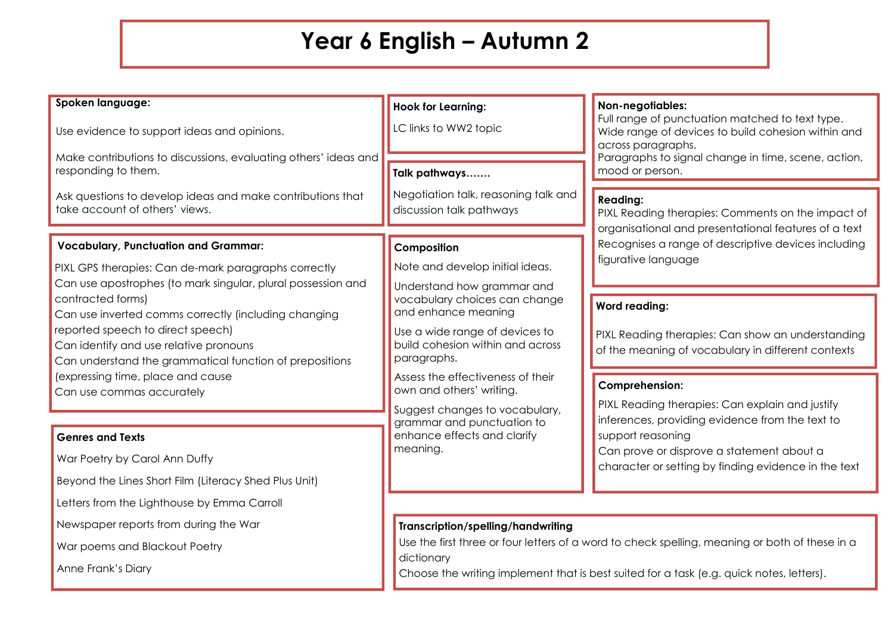## **Year 6 English – Autumn 2**

| Spoken language:                                                                          | <b>Hook for Learning:</b>                                          | Non-negotiables:                                                                                                            |
|-------------------------------------------------------------------------------------------|--------------------------------------------------------------------|-----------------------------------------------------------------------------------------------------------------------------|
| Use evidence to support ideas and opinions.                                               | C links to WW2 topic                                               | Full range of punctuation matched to text type.<br>Wide range of devices to build cohesion within and<br>across paragraphs. |
| Make contributions to discussions, evaluating others' ideas and                           |                                                                    | Paragraphs to signal change in time, scene, action,                                                                         |
| responding to them.                                                                       | Talk pathways                                                      | mood or person.                                                                                                             |
| Ask questions to develop ideas and make contributions that                                | Negotiation talk, reasoning talk and                               | <b>Reading:</b>                                                                                                             |
| take account of others' views.                                                            | discussion talk pathways                                           | PIXL Reading therapies: Comments on the impact of                                                                           |
|                                                                                           |                                                                    | organisational and presentational features of a text                                                                        |
| <b>Vocabulary, Punctuation and Grammar:</b>                                               | Composition                                                        | Recognises a range of descriptive devices including                                                                         |
| PIXL GPS therapies: Can de-mark paragraphs correctly                                      | Note and develop initial ideas.                                    | figurative language                                                                                                         |
| Can use apostrophes (to mark singular, plural possession and                              | Understand how grammar and                                         |                                                                                                                             |
| contracted forms)                                                                         | vocabulary choices can change<br>and enhance meaning               | <b>Word reading:</b>                                                                                                        |
| Can use inverted comms correctly (including changing<br>reported speech to direct speech) |                                                                    |                                                                                                                             |
| Can identify and use relative pronouns                                                    | Use a wide range of devices to<br>build cohesion within and across | PIXL Reading therapies: Can show an understanding                                                                           |
| Can understand the grammatical function of prepositions                                   | paragraphs.                                                        | of the meaning of vocabulary in different contexts                                                                          |
| (expressing time, place and cause                                                         | Assess the effectiveness of their                                  | Comprehension:                                                                                                              |
| Can use commas accurately                                                                 | own and others' writing.                                           | PIXL Reading therapies: Can explain and justify                                                                             |
|                                                                                           | Suggest changes to vocabulary,<br>grammar and punctuation to       | inferences, providing evidence from the text to                                                                             |
| <b>Genres and Texts</b>                                                                   | enhance effects and clarify                                        | support reasoning                                                                                                           |
| War Poetry by Carol Ann Duffy                                                             | meaning.                                                           | Can prove or disprove a statement about a<br>character or setting by finding evidence in the text                           |
| Beyond the Lines Short Film (Literacy Shed Plus Unit)                                     |                                                                    |                                                                                                                             |
| Letters from the Lighthouse by Emma Carroll                                               |                                                                    |                                                                                                                             |
| Newspaper reports from during the War                                                     | Transcription/spelling/handwriting                                 |                                                                                                                             |
| War poems and Blackout Poetry                                                             |                                                                    | Use the first three or four letters of a word to check spelling, meaning or both of these in a                              |

dictionary

Anne Frank's Diary

Choose the writing implement that is best suited for a task (e.g. quick notes, letters).